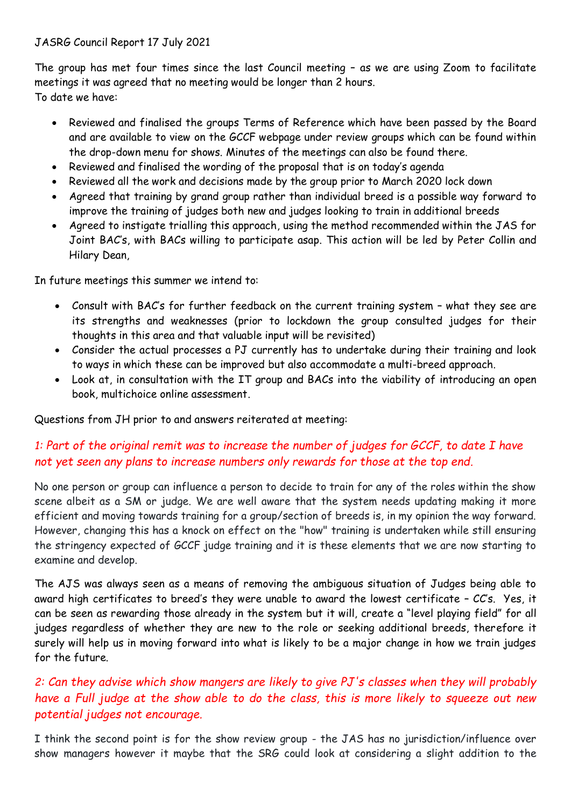#### JASRG Council Report 17 July 2021

The group has met four times since the last Council meeting – as we are using Zoom to facilitate meetings it was agreed that no meeting would be longer than 2 hours. To date we have:

- Reviewed and finalised the groups Terms of Reference which have been passed by the Board and are available to view on the GCCF webpage under review groups which can be found within the drop-down menu for shows. Minutes of the meetings can also be found there.
- Reviewed and finalised the wording of the proposal that is on today's agenda
- Reviewed all the work and decisions made by the group prior to March 2020 lock down
- Agreed that training by grand group rather than individual breed is a possible way forward to improve the training of judges both new and judges looking to train in additional breeds
- Agreed to instigate trialling this approach, using the method recommended within the JAS for Joint BAC's, with BACs willing to participate asap. This action will be led by Peter Collin and Hilary Dean,

In future meetings this summer we intend to:

- Consult with BAC's for further feedback on the current training system what they see are its strengths and weaknesses (prior to lockdown the group consulted judges for their thoughts in this area and that valuable input will be revisited)
- Consider the actual processes a PJ currently has to undertake during their training and look to ways in which these can be improved but also accommodate a multi-breed approach.
- Look at, in consultation with the IT group and BACs into the viability of introducing an open book, multichoice online assessment.

Questions from JH prior to and answers reiterated at meeting:

## *1: Part of the original remit was to increase the number of judges for GCCF, to date I have not yet seen any plans to increase numbers only rewards for those at the top end.*

No one person or group can influence a person to decide to train for any of the roles within the show scene albeit as a SM or judge. We are well aware that the system needs updating making it more efficient and moving towards training for a group/section of breeds is, in my opinion the way forward. However, changing this has a knock on effect on the "how" training is undertaken while still ensuring the stringency expected of GCCF judge training and it is these elements that we are now starting to examine and develop.

The AJS was always seen as a means of removing the ambiguous situation of Judges being able to award high certificates to breed's they were unable to award the lowest certificate – CC's. Yes, it can be seen as rewarding those already in the system but it will, create a "level playing field" for all judges regardless of whether they are new to the role or seeking additional breeds, therefore it surely will help us in moving forward into what is likely to be a major change in how we train judges for the future.

# *2: Can they advise which show mangers are likely to give PJ's classes when they will probably have a Full judge at the show able to do the class, this is more likely to squeeze out new potential judges not encourage.*

I think the second point is for the show review group - the JAS has no jurisdiction/influence over show managers however it maybe that the SRG could look at considering a slight addition to the